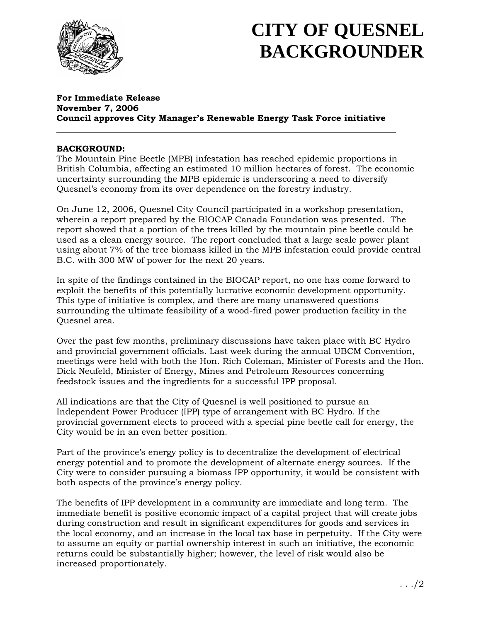

## **CITY OF QUESNEL BACKGROUNDER**

#### **For Immediate Release November 7, 2006 Council approves City Manager's Renewable Energy Task Force initiative**

#### **BACKGROUND:**

The Mountain Pine Beetle (MPB) infestation has reached epidemic proportions in British Columbia, affecting an estimated 10 million hectares of forest. The economic uncertainty surrounding the MPB epidemic is underscoring a need to diversify Quesnel's economy from its over dependence on the forestry industry.

On June 12, 2006, Quesnel City Council participated in a workshop presentation, wherein a report prepared by the BIOCAP Canada Foundation was presented. The report showed that a portion of the trees killed by the mountain pine beetle could be used as a clean energy source. The report concluded that a large scale power plant using about 7% of the tree biomass killed in the MPB infestation could provide central B.C. with 300 MW of power for the next 20 years.

In spite of the findings contained in the BIOCAP report, no one has come forward to exploit the benefits of this potentially lucrative economic development opportunity. This type of initiative is complex, and there are many unanswered questions surrounding the ultimate feasibility of a wood-fired power production facility in the Quesnel area.

Over the past few months, preliminary discussions have taken place with BC Hydro and provincial government officials. Last week during the annual UBCM Convention, meetings were held with both the Hon. Rich Coleman, Minister of Forests and the Hon. Dick Neufeld, Minister of Energy, Mines and Petroleum Resources concerning feedstock issues and the ingredients for a successful IPP proposal.

All indications are that the City of Quesnel is well positioned to pursue an Independent Power Producer (IPP) type of arrangement with BC Hydro. If the provincial government elects to proceed with a special pine beetle call for energy, the City would be in an even better position.

Part of the province's energy policy is to decentralize the development of electrical energy potential and to promote the development of alternate energy sources. If the City were to consider pursuing a biomass IPP opportunity, it would be consistent with both aspects of the province's energy policy.

The benefits of IPP development in a community are immediate and long term. The immediate benefit is positive economic impact of a capital project that will create jobs during construction and result in significant expenditures for goods and services in the local economy, and an increase in the local tax base in perpetuity. If the City were to assume an equity or partial ownership interest in such an initiative, the economic returns could be substantially higher; however, the level of risk would also be increased proportionately.